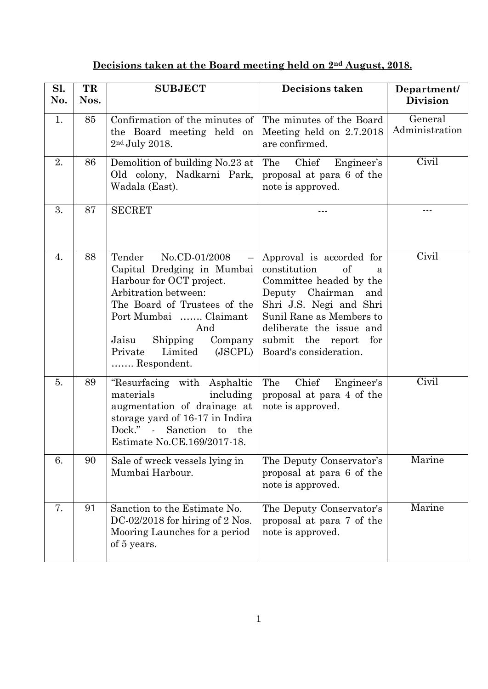## **Decisions taken at the Board meeting held on 2nd August, 2018.**

| Sl.<br>No. | TR<br>Nos. | <b>SUBJECT</b>                                                                                                                                                                                                                                         | <b>Decisions taken</b>                                                                                                                                                                                                                            | Department/<br><b>Division</b> |
|------------|------------|--------------------------------------------------------------------------------------------------------------------------------------------------------------------------------------------------------------------------------------------------------|---------------------------------------------------------------------------------------------------------------------------------------------------------------------------------------------------------------------------------------------------|--------------------------------|
| 1.         | 85         | Confirmation of the minutes of<br>the Board meeting held on<br>$2nd$ July 2018.                                                                                                                                                                        | The minutes of the Board<br>Meeting held on 2.7.2018<br>are confirmed.                                                                                                                                                                            | General<br>Administration      |
| 2.         | 86         | Demolition of building No.23 at<br>Old colony, Nadkarni Park,<br>Wadala (East).                                                                                                                                                                        | Chief<br>The<br>Engineer's<br>proposal at para 6 of the<br>note is approved.                                                                                                                                                                      | Civil                          |
| 3.         | 87         | <b>SECRET</b>                                                                                                                                                                                                                                          |                                                                                                                                                                                                                                                   | ---                            |
| 4.         | 88         | Tender<br>No.CD-01/2008<br>Capital Dredging in Mumbai<br>Harbour for OCT project.<br>Arbitration between:<br>The Board of Trustees of the<br>Port Mumbai  Claimant<br>And<br>Shipping Company<br>Jaisu<br>Private<br>Limited<br>(JSCPL)<br>Respondent. | Approval is accorded for<br>constitution<br>of<br>a<br>Committee headed by the<br>Deputy Chairman<br>and<br>Shri J.S. Negi and Shri<br>Sunil Rane as Members to<br>deliberate the issue and<br>submit the report<br>for<br>Board's consideration. | Civil                          |
| 5.         | 89         | "Resurfacing with Asphaltic<br>materials<br>including<br>augmentation of drainage at<br>storage yard of 16-17 in Indira<br>Dock." - Sanction to the<br>Estimate No.CE.169/2017-18.                                                                     | Chief<br>The<br>Engineer's<br>proposal at para 4 of the<br>note is approved.                                                                                                                                                                      | Civil                          |
| 6.         | 90         | Sale of wreck vessels lying in<br>Mumbai Harbour.                                                                                                                                                                                                      | The Deputy Conservator's<br>proposal at para 6 of the<br>note is approved.                                                                                                                                                                        | Marine                         |
| 7.         | 91         | Sanction to the Estimate No.<br>DC-02/2018 for hiring of 2 Nos.<br>Mooring Launches for a period<br>of 5 years.                                                                                                                                        | The Deputy Conservator's<br>proposal at para 7 of the<br>note is approved.                                                                                                                                                                        | Marine                         |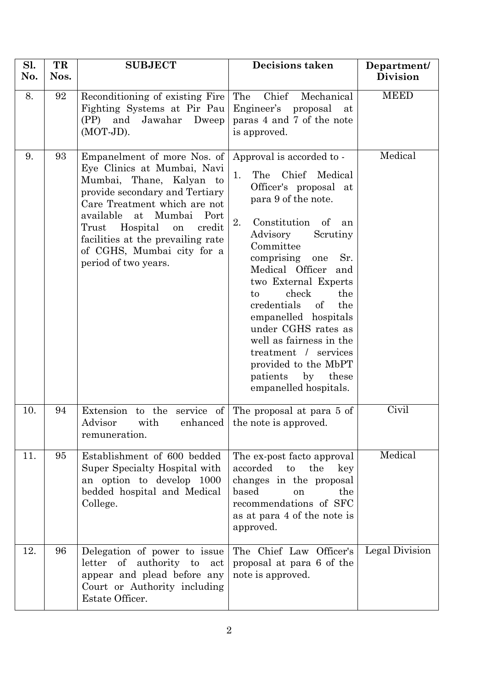| Sl.<br>No. | TR<br>Nos. | <b>SUBJECT</b>                                                                                                                                                                                                                                                                                                       | <b>Decisions taken</b>                                                                                                                                                                                                                                                                                                                                                                                                                                                                    | Department/<br><b>Division</b> |
|------------|------------|----------------------------------------------------------------------------------------------------------------------------------------------------------------------------------------------------------------------------------------------------------------------------------------------------------------------|-------------------------------------------------------------------------------------------------------------------------------------------------------------------------------------------------------------------------------------------------------------------------------------------------------------------------------------------------------------------------------------------------------------------------------------------------------------------------------------------|--------------------------------|
| 8.         | 92         | Reconditioning of existing Fire<br>Fighting Systems at Pir Pau<br>(PP) and Jawahar<br>Dweep<br>$(MOT-JD)$ .                                                                                                                                                                                                          | The<br>Chief<br>Mechanical<br>Engineer's proposal<br>at<br>paras 4 and 7 of the note<br>is approved.                                                                                                                                                                                                                                                                                                                                                                                      | <b>MEED</b>                    |
| 9.         | 93         | Empanelment of more Nos. of<br>Eye Clinics at Mumbai, Navi<br>Mumbai, Thane, Kalyan to<br>provide secondary and Tertiary<br>Care Treatment which are not<br>available<br>at Mumbai Port<br>Trust Hospital<br>credit<br>on<br>facilities at the prevailing rate<br>of CGHS, Mumbai city for a<br>period of two years. | Approval is accorded to -<br>Chief<br>Medical<br>The<br>1.<br>Officer's proposal at<br>para 9 of the note.<br>Constitution of<br>2.<br>an<br>Advisory<br>Scrutiny<br>Committee<br>comprising<br>Sr.<br>one<br>Medical Officer<br>and<br>two External Experts<br>check<br>the<br>to<br>credentials of<br>the<br>empanelled hospitals<br>under CGHS rates as<br>well as fairness in the<br>treatment / services<br>provided to the MbPT<br>patients<br>by<br>these<br>empanelled hospitals. | Medical                        |
| 10.        | 94         | Extension to the service of The proposal at para $5 \text{ of }$<br>Advisor<br>remuneration.                                                                                                                                                                                                                         | with enhanced the note is approved.                                                                                                                                                                                                                                                                                                                                                                                                                                                       | Civil                          |
| 11.        | 95         | Establishment of 600 bedded<br>Super Specialty Hospital with<br>an option to develop 1000<br>bedded hospital and Medical<br>College.                                                                                                                                                                                 | The ex-post facto approval<br>accorded<br>to<br>the<br>key<br>changes in the proposal<br>based<br>the<br>on<br>recommendations of SFC<br>as at para 4 of the note is<br>approved.                                                                                                                                                                                                                                                                                                         | Medical                        |
| 12.        | 96         | Delegation of power to issue<br>letter of authority to<br>act<br>appear and plead before any<br>Court or Authority including<br>Estate Officer.                                                                                                                                                                      | The Chief Law Officer's<br>proposal at para 6 of the<br>note is approved.                                                                                                                                                                                                                                                                                                                                                                                                                 | Legal Division                 |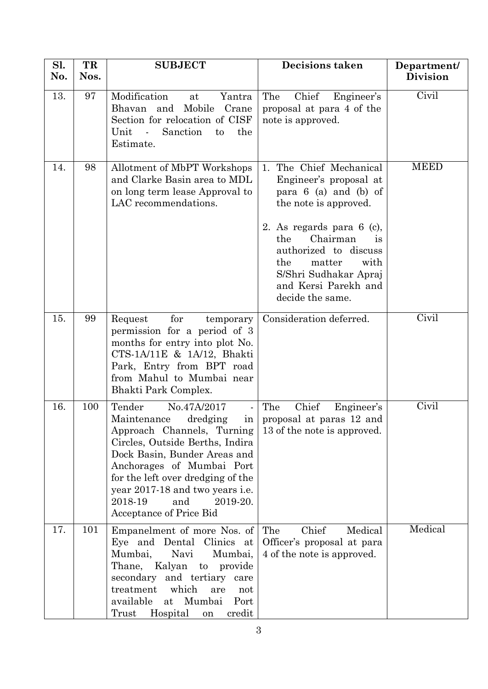| Sl.<br>No. | TR<br>Nos. | <b>SUBJECT</b>                                                                                                                                                                                                                                                                                                                                                   | <b>Decisions taken</b>                                                                                                                                                                                                                                                                  | Department/<br><b>Division</b> |
|------------|------------|------------------------------------------------------------------------------------------------------------------------------------------------------------------------------------------------------------------------------------------------------------------------------------------------------------------------------------------------------------------|-----------------------------------------------------------------------------------------------------------------------------------------------------------------------------------------------------------------------------------------------------------------------------------------|--------------------------------|
| 13.        | 97         | Modification<br>Yantra<br>at<br>Mobile<br>Bhavan<br>and<br>Crane<br>Section for relocation of CISF<br>Unit<br>Sanction<br>the<br>$\sim$ $\sim$<br>to<br>Estimate.                                                                                                                                                                                                | The<br>Chief<br>Engineer's<br>proposal at para 4 of the<br>note is approved.                                                                                                                                                                                                            | Civil                          |
| 14.        | 98         | Allotment of MbPT Workshops<br>and Clarke Basin area to MDL<br>on long term lease Approval to<br>LAC recommendations.                                                                                                                                                                                                                                            | The Chief Mechanical<br>1.<br>Engineer's proposal at<br>para $6$ (a) and (b) of<br>the note is approved.<br>2. As regards para $6$ (c),<br>the<br>Chairman<br>is<br>authorized to discuss<br>the<br>matter<br>with<br>S/Shri Sudhakar Apraj<br>and Kersi Parekh and<br>decide the same. | <b>MEED</b>                    |
| 15.        | 99         | for<br>Request<br>temporary<br>permission for a period of 3<br>months for entry into plot No.<br>CTS-1A/11E & 1A/12, Bhakti<br>Park, Entry from BPT road<br>from Mahul to Mumbai near<br>Bhakti Park Complex.                                                                                                                                                    | Consideration deferred.                                                                                                                                                                                                                                                                 | Civil                          |
| 16.        | 100        | Tender<br>No.47A/2017<br>$\qquad \qquad \blacksquare$<br>Maintenance<br>dredging<br>$\frac{1}{2}$<br>Approach Channels, Turning<br>Circles, Outside Berths, Indira<br>Dock Basin, Bunder Areas and<br>Anchorages of Mumbai Port<br>for the left over dredging of the<br>year 2017-18 and two years i.e.<br>2018-19<br>and<br>2019-20.<br>Acceptance of Price Bid | Chief<br>The<br>Engineer's<br>proposal at paras 12 and<br>13 of the note is approved.                                                                                                                                                                                                   | Civil                          |
| 17.        | 101        | Empanelment of more Nos. of<br>Eye and Dental Clinics at<br>Mumbai,<br>Navi<br>Mumbai,<br>Thane,<br>Kalyan to provide<br>secondary and tertiary<br>care<br>treatment<br>which<br>are<br>not<br>Mumbai<br>available<br>at<br>Port<br>Hospital<br>credit<br>Trust<br>on                                                                                            | The<br>Chief<br>Medical<br>Officer's proposal at para<br>4 of the note is approved.                                                                                                                                                                                                     | Medical                        |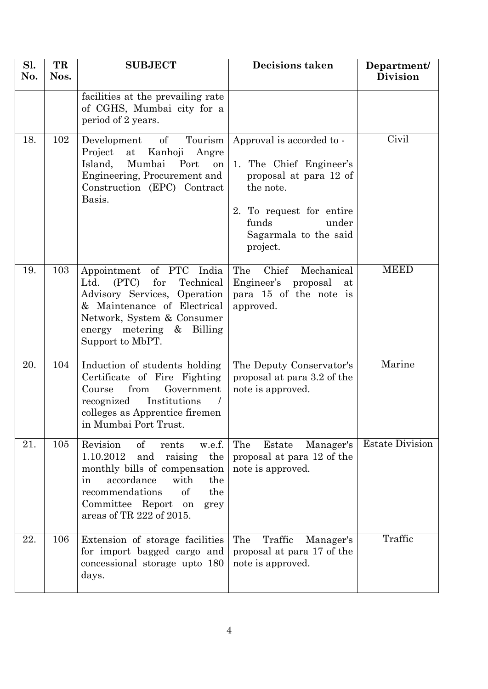| Sl.<br>No. | TR<br>Nos. | <b>SUBJECT</b>                                                                                                                                                                                                                            | <b>Decisions taken</b>                                                                                                                                                         | Department/<br><b>Division</b> |
|------------|------------|-------------------------------------------------------------------------------------------------------------------------------------------------------------------------------------------------------------------------------------------|--------------------------------------------------------------------------------------------------------------------------------------------------------------------------------|--------------------------------|
|            |            | facilities at the prevailing rate<br>of CGHS, Mumbai city for a<br>period of 2 years.                                                                                                                                                     |                                                                                                                                                                                |                                |
| 18.        | 102        | Development of<br>Tourism<br>at Kanhoji<br>Project<br>Angre<br>Island,<br>Mumbai<br>Port<br>on<br>Engineering, Procurement and<br>Construction (EPC) Contract<br>Basis.                                                                   | Approval is accorded to -<br>1. The Chief Engineer's<br>proposal at para 12 of<br>the note.<br>2. To request for entire<br>funds<br>under<br>Sagarmala to the said<br>project. | Civil                          |
| 19.        | 103        | Appointment of PTC<br>India<br>Technical<br>(PTC)<br>for<br>Ltd.<br>Advisory Services, Operation<br>& Maintenance of Electrical<br>Network, System & Consumer<br>energy metering & Billing<br>Support to MbPT.                            | Chief<br>Mechanical<br>The<br>Engineer's proposal<br>at<br>para 15 of the note is<br>approved.                                                                                 | <b>MEED</b>                    |
| 20.        | 104        | Induction of students holding<br>Certificate of Fire Fighting<br>from<br>Government<br>Course<br>recognized<br>Institutions<br>colleges as Apprentice firemen<br>in Mumbai Port Trust.                                                    | The Deputy Conservator's<br>proposal at para 3.2 of the<br>note is approved.                                                                                                   | Marine                         |
| 21.        | 105        | Revision<br>of<br>w.e.f.<br>rents<br>1.10.2012<br>and<br>the<br>raising<br>monthly bills of compensation<br>accordance<br>with<br>the<br>in<br>recommendations<br>of<br>the<br>Committee Report<br>grey<br>on<br>areas of TR 222 of 2015. | The<br>Estate<br>Manager's<br>proposal at para 12 of the<br>note is approved.                                                                                                  | <b>Estate Division</b>         |
| 22.        | 106        | Extension of storage facilities<br>for import bagged cargo and<br>concessional storage upto 180<br>days.                                                                                                                                  | Traffic<br>The<br>Manager's<br>proposal at para 17 of the<br>note is approved.                                                                                                 | Traffic                        |